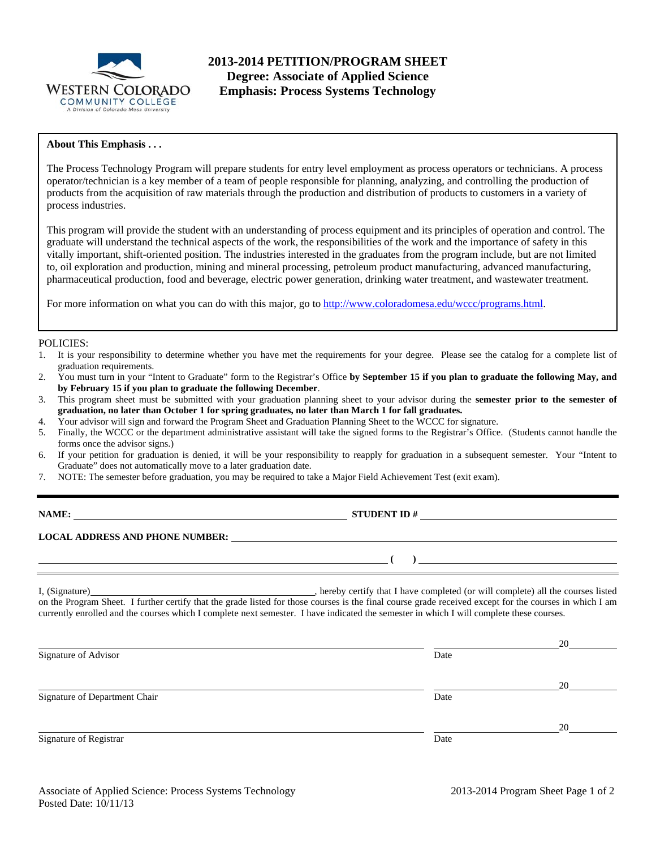

### **About This Emphasis . . .**

The Process Technology Program will prepare students for entry level employment as process operators or technicians. A process operator/technician is a key member of a team of people responsible for planning, analyzing, and controlling the production of products from the acquisition of raw materials through the production and distribution of products to customers in a variety of process industries.

This program will provide the student with an understanding of process equipment and its principles of operation and control. The graduate will understand the technical aspects of the work, the responsibilities of the work and the importance of safety in this vitally important, shift-oriented position. The industries interested in the graduates from the program include, but are not limited to, oil exploration and production, mining and mineral processing, petroleum product manufacturing, advanced manufacturing, pharmaceutical production, food and beverage, electric power generation, drinking water treatment, and wastewater treatment.

For more information on what you can do with this major, go to http://www.coloradomesa.edu/wccc/programs.html.

#### POLICIES:

- 1. It is your responsibility to determine whether you have met the requirements for your degree. Please see the catalog for a complete list of graduation requirements.
- 2. You must turn in your "Intent to Graduate" form to the Registrar's Office **by September 15 if you plan to graduate the following May, and by February 15 if you plan to graduate the following December**.
- 3. This program sheet must be submitted with your graduation planning sheet to your advisor during the **semester prior to the semester of graduation, no later than October 1 for spring graduates, no later than March 1 for fall graduates.**
- 4. Your advisor will sign and forward the Program Sheet and Graduation Planning Sheet to the WCCC for signature.
- 5. Finally, the WCCC or the department administrative assistant will take the signed forms to the Registrar's Office. (Students cannot handle the forms once the advisor signs.)
- 6. If your petition for graduation is denied, it will be your responsibility to reapply for graduation in a subsequent semester. Your "Intent to Graduate" does not automatically move to a later graduation date.
- 7. NOTE: The semester before graduation, you may be required to take a Major Field Achievement Test (exit exam).

**NAME:** STUDENT ID #

## **LOCAL ADDRESS AND PHONE NUMBER:**

I, (Signature) , hereby certify that I have completed (or will complete) all the courses listed on the Program Sheet. I further certify that the grade listed for those courses is the final course grade received except for the courses in which I am currently enrolled and the courses which I complete next semester. I have indicated the semester in which I will complete these courses.

| Signature of Advisor          | Date | 20 |
|-------------------------------|------|----|
| Signature of Department Chair | Date | 20 |
| Signature of Registrar        | Date | 20 |

 **( )**